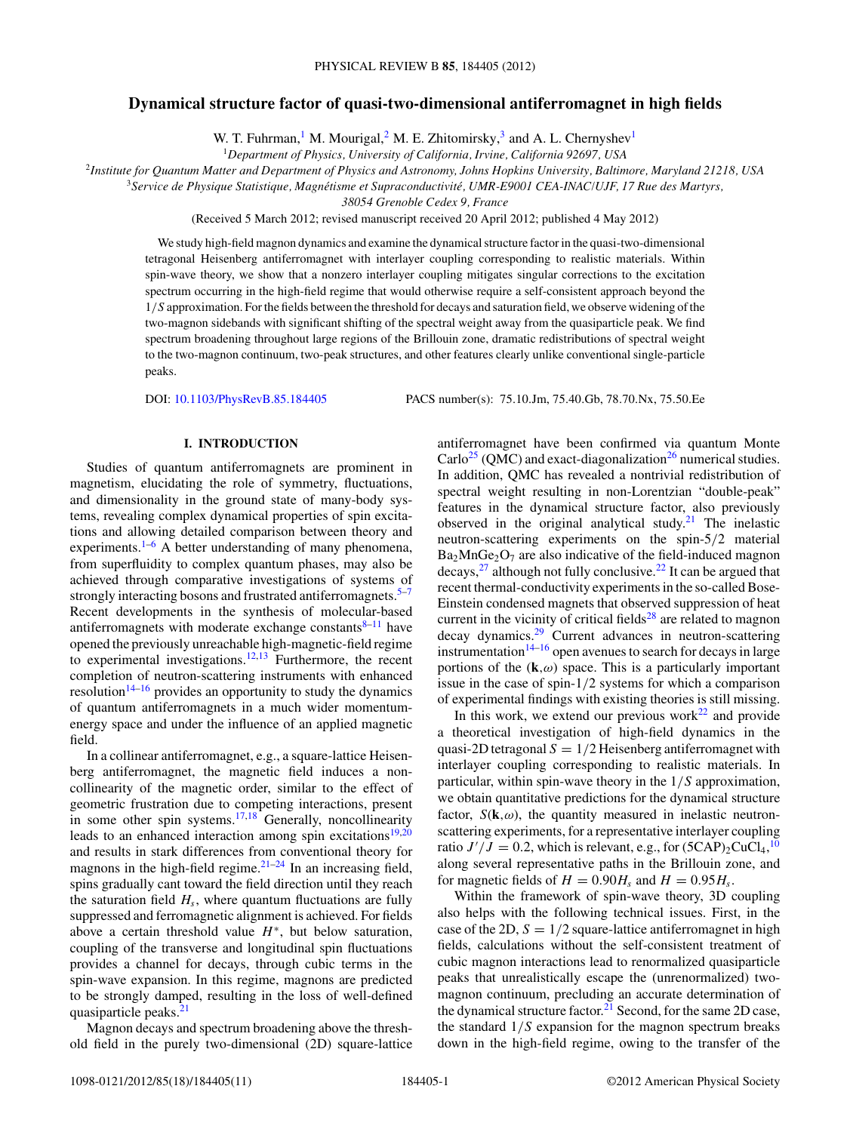# **Dynamical structure factor of quasi-two-dimensional antiferromagnet in high fields**

W. T. Fuhrman,<sup>1</sup> M. Mourigal,<sup>2</sup> M. E. Zhitomirsky,<sup>3</sup> and A. L. Chernyshev<sup>1</sup>

<sup>1</sup>*Department of Physics, University of California, Irvine, California 92697, USA*

<sup>2</sup>*Institute for Quantum Matter and Department of Physics and Astronomy, Johns Hopkins University, Baltimore, Maryland 21218, USA*

<sup>3</sup>*Service de Physique Statistique, Magnetisme et Supraconductivit ´ e, UMR-E9001 CEA-INAC/UJF, 17 Rue des Martyrs, ´*

*38054 Grenoble Cedex 9, France*

(Received 5 March 2012; revised manuscript received 20 April 2012; published 4 May 2012)

We study high-field magnon dynamics and examine the dynamical structure factor in the quasi-two-dimensional tetragonal Heisenberg antiferromagnet with interlayer coupling corresponding to realistic materials. Within spin-wave theory, we show that a nonzero interlayer coupling mitigates singular corrections to the excitation spectrum occurring in the high-field regime that would otherwise require a self-consistent approach beyond the 1*/S* approximation. For the fields between the threshold for decays and saturation field, we observe widening of the two-magnon sidebands with significant shifting of the spectral weight away from the quasiparticle peak. We find spectrum broadening throughout large regions of the Brillouin zone, dramatic redistributions of spectral weight to the two-magnon continuum, two-peak structures, and other features clearly unlike conventional single-particle peaks.

DOI: [10.1103/PhysRevB.85.184405](http://dx.doi.org/10.1103/PhysRevB.85.184405) PACS number(s): 75*.*10*.*Jm, 75*.*40*.*Gb, 78*.*70*.*Nx, 75*.*50*.*Ee

## **I. INTRODUCTION**

Studies of quantum antiferromagnets are prominent in magnetism, elucidating the role of symmetry, fluctuations, and dimensionality in the ground state of many-body systems, revealing complex dynamical properties of spin excitations and allowing detailed comparison between theory and experiments.<sup>[1–6](#page-9-0)</sup> A better understanding of many phenomena, from superfluidity to complex quantum phases, may also be achieved through comparative investigations of systems of strongly interacting bosons and frustrated antiferromagnets.<sup>[5–7](#page-9-0)</sup> Recent developments in the synthesis of molecular-based antiferromagnets with moderate exchange constants $8-11$  have opened the previously unreachable high-magnetic-field regime to experimental investigations.<sup>12,13</sup> Furthermore, the recent completion of neutron-scattering instruments with enhanced resolution<sup>14–16</sup> provides an opportunity to study the dynamics of quantum antiferromagnets in a much wider momentumenergy space and under the influence of an applied magnetic field.

In a collinear antiferromagnet, e.g., a square-lattice Heisenberg antiferromagnet, the magnetic field induces a noncollinearity of the magnetic order, similar to the effect of geometric frustration due to competing interactions, present in some other spin systems.<sup>17,18</sup> Generally, noncollinearity leads to an enhanced interaction among spin excitations $19,20$ and results in stark differences from conventional theory for magnons in the high-field regime. $21-24$  In an increasing field, spins gradually cant toward the field direction until they reach the saturation field  $H_s$ , where quantum fluctuations are fully suppressed and ferromagnetic alignment is achieved. For fields above a certain threshold value *H*<sup>∗</sup>, but below saturation, coupling of the transverse and longitudinal spin fluctuations provides a channel for decays, through cubic terms in the spin-wave expansion. In this regime, magnons are predicted to be strongly damped, resulting in the loss of well-defined quasiparticle peaks.<sup>21</sup>

Magnon decays and spectrum broadening above the threshold field in the purely two-dimensional (2D) square-lattice antiferromagnet have been confirmed via quantum Monte  $\text{Carlo}^{25}$  (QMC) and exact-diagonalization<sup>[26](#page-10-0)</sup> numerical studies. In addition, QMC has revealed a nontrivial redistribution of spectral weight resulting in non-Lorentzian "double-peak" features in the dynamical structure factor, also previously observed in the original analytical study.<sup>[21](#page-9-0)</sup> The inelastic neutron-scattering experiments on the spin-5*/*2 material  $Ba<sub>2</sub>MnGe<sub>2</sub>O<sub>7</sub>$  are also indicative of the field-induced magnon decays,  $2^7$  although not fully conclusive.  $2^2$  It can be argued that recent thermal-conductivity experiments in the so-called Bose-Einstein condensed magnets that observed suppression of heat current in the vicinity of critical fields $^{28}$  $^{28}$  $^{28}$  are related to magnon decay dynamics[.29](#page-10-0) Current advances in neutron-scattering instrumentation $14-16$  open avenues to search for decays in large portions of the  $(k,\omega)$  space. This is a particularly important issue in the case of spin-1*/*2 systems for which a comparison of experimental findings with existing theories is still missing.

In this work, we extend our previous work $^{22}$  and provide a theoretical investigation of high-field dynamics in the quasi-2D tetragonal  $S = 1/2$  Heisenberg antiferromagnet with interlayer coupling corresponding to realistic materials. In particular, within spin-wave theory in the 1*/S* approximation, we obtain quantitative predictions for the dynamical structure factor,  $S(\mathbf{k}, \omega)$ , the quantity measured in inelastic neutronscattering experiments, for a representative interlayer coupling ratio  $J'/J = 0.2$ , which is relevant, e.g., for  $(5 \text{CAP})_2 \text{CuCl}_4$ , <sup>[10](#page-9-0)</sup> along several representative paths in the Brillouin zone, and for magnetic fields of  $H = 0.90H_s$  and  $H = 0.95H_s$ .

Within the framework of spin-wave theory, 3D coupling also helps with the following technical issues. First, in the case of the 2D,  $S = 1/2$  square-lattice antiferromagnet in high fields, calculations without the self-consistent treatment of cubic magnon interactions lead to renormalized quasiparticle peaks that unrealistically escape the (unrenormalized) twomagnon continuum, precluding an accurate determination of the dynamical structure factor. $21$  Second, for the same 2D case, the standard 1*/S* expansion for the magnon spectrum breaks down in the high-field regime, owing to the transfer of the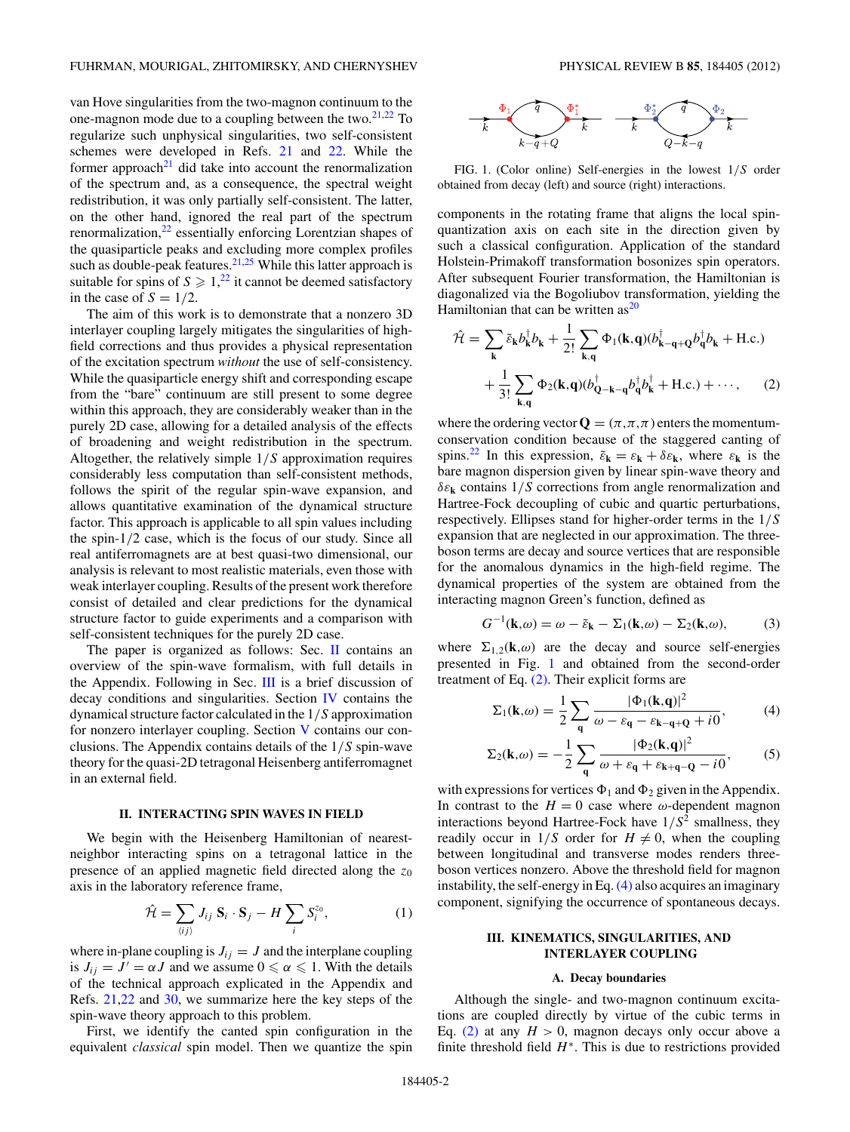<span id="page-1-0"></span>van Hove singularities from the two-magnon continuum to the one-magnon mode due to a coupling between the two.[21,22](#page-9-0) To regularize such unphysical singularities, two self-consistent schemes were developed in Refs. [21](#page-9-0) and [22.](#page-9-0) While the former approach<sup>21</sup> did take into account the renormalization of the spectrum and, as a consequence, the spectral weight redistribution, it was only partially self-consistent. The latter, on the other hand, ignored the real part of the spectrum renormalization,<sup>[22](#page-9-0)</sup> essentially enforcing Lorentzian shapes of the quasiparticle peaks and excluding more complex profiles such as double-peak features. $21,25$  While this latter approach is suitable for spins of  $S \geqslant 1$ ,<sup>[22](#page-9-0)</sup> it cannot be deemed satisfactory in the case of  $S = 1/2$ .

The aim of this work is to demonstrate that a nonzero 3D interlayer coupling largely mitigates the singularities of highfield corrections and thus provides a physical representation of the excitation spectrum *without* the use of self-consistency. While the quasiparticle energy shift and corresponding escape from the "bare" continuum are still present to some degree within this approach, they are considerably weaker than in the purely 2D case, allowing for a detailed analysis of the effects of broadening and weight redistribution in the spectrum. Altogether, the relatively simple 1*/S* approximation requires considerably less computation than self-consistent methods, follows the spirit of the regular spin-wave expansion, and allows quantitative examination of the dynamical structure factor. This approach is applicable to all spin values including the spin-1*/*2 case, which is the focus of our study. Since all real antiferromagnets are at best quasi-two dimensional, our analysis is relevant to most realistic materials, even those with weak interlayer coupling. Results of the present work therefore consist of detailed and clear predictions for the dynamical structure factor to guide experiments and a comparison with self-consistent techniques for the purely 2D case.

The paper is organized as follows: Sec. II contains an overview of the spin-wave formalism, with full details in the Appendix. Following in Sec. III is a brief discussion of decay conditions and singularities. Section [IV](#page-3-0) contains the dynamical structure factor calculated in the 1*/S* approximation for nonzero interlayer coupling. Section [V](#page-7-0) contains our conclusions. The Appendix contains details of the 1*/S* spin-wave theory for the quasi-2D tetragonal Heisenberg antiferromagnet in an external field.

#### **II. INTERACTING SPIN WAVES IN FIELD**

We begin with the Heisenberg Hamiltonian of nearestneighbor interacting spins on a tetragonal lattice in the presence of an applied magnetic field directed along the *z*<sup>0</sup> axis in the laboratory reference frame,

$$
\hat{\mathcal{H}} = \sum_{\langle ij \rangle} J_{ij} \mathbf{S}_i \cdot \mathbf{S}_j - H \sum_i S_i^{z_0}, \tag{1}
$$

where in-plane coupling is  $J_{ij} = J$  and the interplane coupling is  $J_{ij} = J' = \alpha J$  and we assume  $0 \le \alpha \le 1$ . With the details of the technical approach explicated in the Appendix and Refs. [21,22](#page-9-0) and [30,](#page-10-0) we summarize here the key steps of the spin-wave theory approach to this problem.

First, we identify the canted spin configuration in the equivalent *classical* spin model. Then we quantize the spin



FIG. 1. (Color online) Self-energies in the lowest 1*/S* order obtained from decay (left) and source (right) interactions.

components in the rotating frame that aligns the local spinquantization axis on each site in the direction given by such a classical configuration. Application of the standard Holstein-Primakoff transformation bosonizes spin operators. After subsequent Fourier transformation, the Hamiltonian is diagonalized via the Bogoliubov transformation, yielding the Hamiltonian that can be written  $as<sup>20</sup>$  $as<sup>20</sup>$  $as<sup>20</sup>$ 

$$
\hat{\mathcal{H}} = \sum_{\mathbf{k}} \tilde{\varepsilon}_{\mathbf{k}} b_{\mathbf{k}}^{\dagger} b_{\mathbf{k}} + \frac{1}{2!} \sum_{\mathbf{k}, \mathbf{q}} \Phi_1(\mathbf{k}, \mathbf{q}) (b_{\mathbf{k} - \mathbf{q} + \mathbf{Q}}^{\dagger} b_{\mathbf{q}}^{\dagger} b_{\mathbf{k}} + \text{H.c.}) + \frac{1}{3!} \sum_{\mathbf{k}, \mathbf{q}} \Phi_2(\mathbf{k}, \mathbf{q}) (b_{\mathbf{Q} - \mathbf{k} - \mathbf{q}}^{\dagger} b_{\mathbf{q}}^{\dagger} b_{\mathbf{k}}^{\dagger} + \text{H.c.}) + \cdots, \quad (2)
$$

where the ordering vector  $\mathbf{Q} = (\pi, \pi, \pi)$  enters the momentumconservation condition because of the staggered canting of spins.<sup>22</sup> In this expression,  $\tilde{\varepsilon}_k = \varepsilon_k + \delta \varepsilon_k$ , where  $\varepsilon_k$  is the bare magnon dispersion given by linear spin-wave theory and *δε***<sup>k</sup>** contains 1*/S* corrections from angle renormalization and Hartree-Fock decoupling of cubic and quartic perturbations, respectively. Ellipses stand for higher-order terms in the 1*/S* expansion that are neglected in our approximation. The threeboson terms are decay and source vertices that are responsible for the anomalous dynamics in the high-field regime. The dynamical properties of the system are obtained from the interacting magnon Green's function, defined as

$$
G^{-1}(\mathbf{k},\omega) = \omega - \tilde{\varepsilon}_{\mathbf{k}} - \Sigma_1(\mathbf{k},\omega) - \Sigma_2(\mathbf{k},\omega),\tag{3}
$$

where  $\Sigma_{1,2}(\mathbf{k},\omega)$  are the decay and source self-energies presented in Fig. 1 and obtained from the second-order treatment of Eq. (2). Their explicit forms are

$$
\Sigma_1(\mathbf{k},\omega) = \frac{1}{2} \sum_{\mathbf{q}} \frac{|\Phi_1(\mathbf{k},\mathbf{q})|^2}{\omega - \varepsilon_{\mathbf{q}} - \varepsilon_{\mathbf{k}-\mathbf{q}+\mathbf{Q}} + i0},\tag{4}
$$

$$
\Sigma_2(\mathbf{k},\omega) = -\frac{1}{2} \sum_{\mathbf{q}} \frac{|\Phi_2(\mathbf{k},\mathbf{q})|^2}{\omega + \varepsilon_{\mathbf{q}} + \varepsilon_{\mathbf{k}+\mathbf{q}-\mathbf{Q}} - i0},\tag{5}
$$

with expressions for vertices  $\Phi_1$  and  $\Phi_2$  given in the Appendix. In contrast to the  $H = 0$  case where  $\omega$ -dependent magnon interactions beyond Hartree-Fock have 1*/S*<sup>2</sup> smallness, they readily occur in  $1/S$  order for  $H \neq 0$ , when the coupling between longitudinal and transverse modes renders threeboson vertices nonzero. Above the threshold field for magnon instability, the self-energy in Eq.(4) also acquires an imaginary component, signifying the occurrence of spontaneous decays.

### **III. KINEMATICS, SINGULARITIES, AND INTERLAYER COUPLING**

### **A. Decay boundaries**

Although the single- and two-magnon continuum excitations are coupled directly by virtue of the cubic terms in Eq. (2) at any  $H > 0$ , magnon decays only occur above a finite threshold field *H*<sup>∗</sup>. This is due to restrictions provided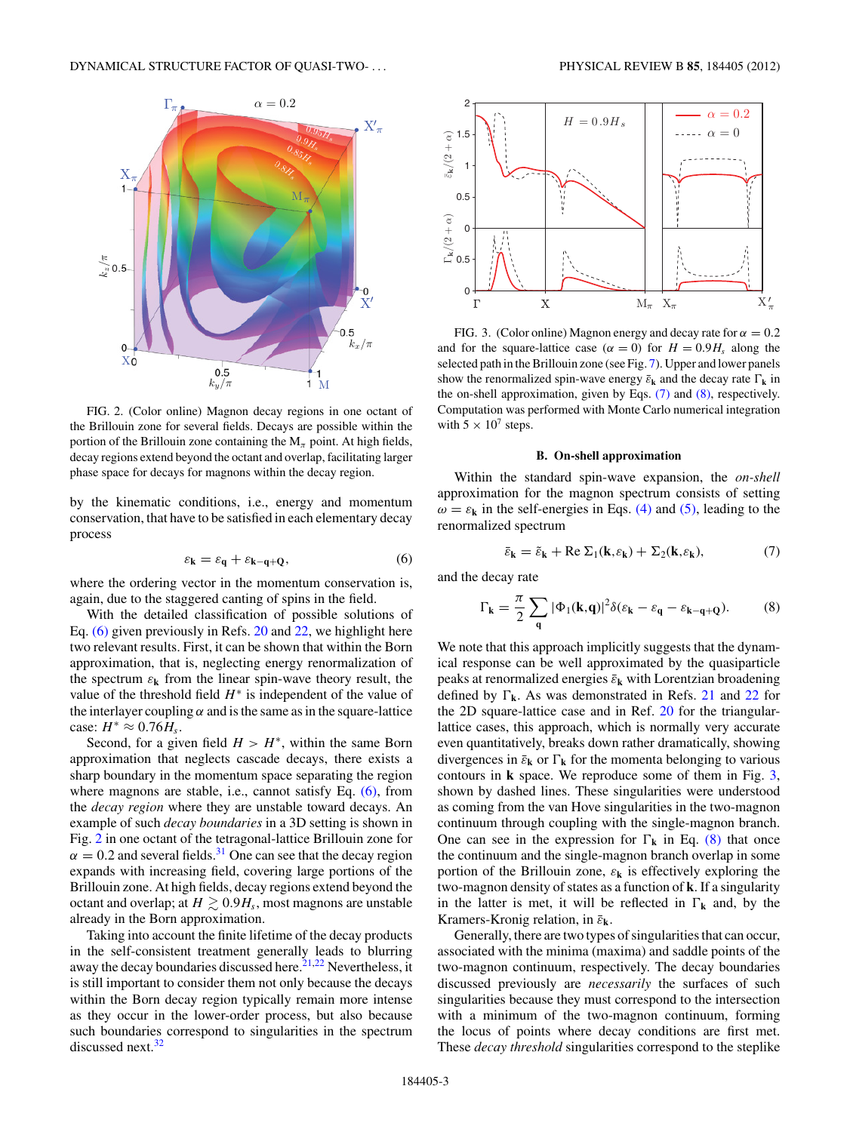<span id="page-2-0"></span>

FIG. 2. (Color online) Magnon decay regions in one octant of the Brillouin zone for several fields. Decays are possible within the portion of the Brillouin zone containing the  $M_\pi$  point. At high fields, decay regions extend beyond the octant and overlap, facilitating larger phase space for decays for magnons within the decay region.

by the kinematic conditions, i.e., energy and momentum conservation, that have to be satisfied in each elementary decay process

$$
\varepsilon_{\mathbf{k}} = \varepsilon_{\mathbf{q}} + \varepsilon_{\mathbf{k} - \mathbf{q} + \mathbf{Q}},\tag{6}
$$

where the ordering vector in the momentum conservation is, again, due to the staggered canting of spins in the field.

With the detailed classification of possible solutions of Eq. (6) given previously in Refs. [20](#page-9-0) and [22,](#page-9-0) we highlight here two relevant results. First, it can be shown that within the Born approximation, that is, neglecting energy renormalization of the spectrum  $\varepsilon_k$  from the linear spin-wave theory result, the value of the threshold field *H*<sup>∗</sup> is independent of the value of the interlayer coupling  $\alpha$  and is the same as in the square-lattice case:  $H^* \approx 0.76 H_s$ .

Second, for a given field  $H > H^*$ , within the same Born approximation that neglects cascade decays, there exists a sharp boundary in the momentum space separating the region where magnons are stable, i.e., cannot satisfy Eq. (6), from the *decay region* where they are unstable toward decays. An example of such *decay boundaries* in a 3D setting is shown in Fig. 2 in one octant of the tetragonal-lattice Brillouin zone for  $\alpha = 0.2$  and several fields.<sup>31</sup> One can see that the decay region expands with increasing field, covering large portions of the Brillouin zone. At high fields, decay regions extend beyond the octant and overlap; at  $H \gtrsim 0.9H_s$ , most magnons are unstable already in the Born approximation.

Taking into account the finite lifetime of the decay products in the self-consistent treatment generally leads to blurring away the decay boundaries discussed here. $21,22$  Nevertheless, it is still important to consider them not only because the decays within the Born decay region typically remain more intense as they occur in the lower-order process, but also because such boundaries correspond to singularities in the spectrum discussed next. $32$ 



FIG. 3. (Color online) Magnon energy and decay rate for  $\alpha = 0.2$ and for the square-lattice case ( $\alpha = 0$ ) for  $H = 0.9H_s$  along the selected path in the Brillouin zone (see Fig. [7\)](#page-6-0). Upper and lower panels show the renormalized spin-wave energy  $\bar{\varepsilon}_k$  and the decay rate  $\Gamma_k$  in the on-shell approximation, given by Eqs. (7) and (8), respectively. Computation was performed with Monte Carlo numerical integration with  $5 \times 10^7$  steps.

#### **B. On-shell approximation**

Within the standard spin-wave expansion, the *on-shell* approximation for the magnon spectrum consists of setting  $\omega = \varepsilon_k$  in the self-energies in Eqs. [\(4\)](#page-1-0) and [\(5\),](#page-1-0) leading to the renormalized spectrum

$$
\bar{\varepsilon}_{\mathbf{k}} = \tilde{\varepsilon}_{\mathbf{k}} + \text{Re } \Sigma_1(\mathbf{k}, \varepsilon_{\mathbf{k}}) + \Sigma_2(\mathbf{k}, \varepsilon_{\mathbf{k}}), \tag{7}
$$

and the decay rate

$$
\Gamma_{\mathbf{k}} = \frac{\pi}{2} \sum_{\mathbf{q}} |\Phi_1(\mathbf{k}, \mathbf{q})|^2 \delta(\varepsilon_{\mathbf{k}} - \varepsilon_{\mathbf{q}} - \varepsilon_{\mathbf{k} - \mathbf{q} + \mathbf{Q}}). \tag{8}
$$

We note that this approach implicitly suggests that the dynamical response can be well approximated by the quasiparticle peaks at renormalized energies ¯*ε***<sup>k</sup>** with Lorentzian broadening defined by  $\Gamma_k$ . As was demonstrated in Refs. [21](#page-9-0) and [22](#page-9-0) for the 2D square-lattice case and in Ref. [20](#page-9-0) for the triangularlattice cases, this approach, which is normally very accurate even quantitatively, breaks down rather dramatically, showing divergences in  $\bar{\varepsilon}_k$  or  $\Gamma_k$  for the momenta belonging to various contours in **k** space. We reproduce some of them in Fig. 3, shown by dashed lines. These singularities were understood as coming from the van Hove singularities in the two-magnon continuum through coupling with the single-magnon branch. One can see in the expression for  $\Gamma_k$  in Eq. (8) that once the continuum and the single-magnon branch overlap in some portion of the Brillouin zone,  $\varepsilon_k$  is effectively exploring the two-magnon density of states as a function of **k**. If a singularity in the latter is met, it will be reflected in  $\Gamma_k$  and, by the Kramers-Kronig relation, in ¯*ε***k**.

Generally, there are two types of singularities that can occur, associated with the minima (maxima) and saddle points of the two-magnon continuum, respectively. The decay boundaries discussed previously are *necessarily* the surfaces of such singularities because they must correspond to the intersection with a minimum of the two-magnon continuum, forming the locus of points where decay conditions are first met. These *decay threshold* singularities correspond to the steplike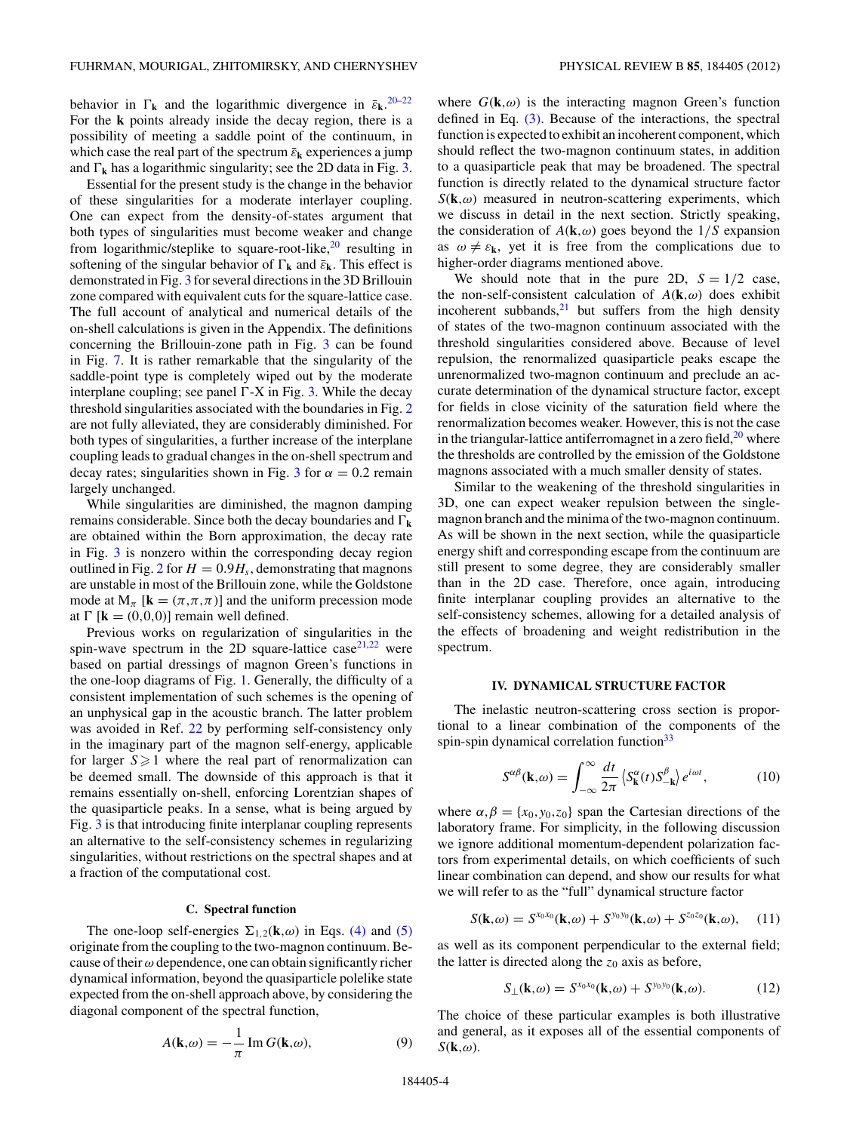<span id="page-3-0"></span>behavior in  $\Gamma_k$  and the logarithmic divergence in  $\bar{\varepsilon}_k$ . <sup>[20–22](#page-9-0)</sup> For the **k** points already inside the decay region, there is a possibility of meeting a saddle point of the continuum, in which case the real part of the spectrum  $\bar{\varepsilon}_k$  experiences a jump and  $\Gamma_k$  has a logarithmic singularity; see the 2D data in Fig. [3.](#page-2-0)

Essential for the present study is the change in the behavior of these singularities for a moderate interlayer coupling. One can expect from the density-of-states argument that both types of singularities must become weaker and change from logarithmic/steplike to square-root-like,<sup>20</sup> resulting in softening of the singular behavior of  $\Gamma_k$  and  $\bar{\varepsilon}_k$ . This effect is demonstrated in Fig. [3](#page-2-0) for several directions in the 3D Brillouin zone compared with equivalent cuts for the square-lattice case. The full account of analytical and numerical details of the on-shell calculations is given in the Appendix. The definitions concerning the Brillouin-zone path in Fig. [3](#page-2-0) can be found in Fig. [7.](#page-6-0) It is rather remarkable that the singularity of the saddle-point type is completely wiped out by the moderate interplane coupling; see panel  $\Gamma$ -X in Fig. [3.](#page-2-0) While the decay threshold singularities associated with the boundaries in Fig. [2](#page-2-0) are not fully alleviated, they are considerably diminished. For both types of singularities, a further increase of the interplane coupling leads to gradual changes in the on-shell spectrum and decay rates; singularities shown in Fig. [3](#page-2-0) for  $\alpha = 0.2$  remain largely unchanged.

While singularities are diminished, the magnon damping remains considerable. Since both the decay boundaries and  $\Gamma_k$ are obtained within the Born approximation, the decay rate in Fig. [3](#page-2-0) is nonzero within the corresponding decay region outlined in Fig. [2](#page-2-0) for  $H = 0.9H_s$ , demonstrating that magnons are unstable in most of the Brillouin zone, while the Goldstone mode at  $M_\pi$  [**k** =  $(\pi, \pi, \pi)$ ] and the uniform precession mode at  $\Gamma$  [**k** = (0,0,0)] remain well defined.

Previous works on regularization of singularities in the spin-wave spectrum in the 2D square-lattice case  $2^{1,22}$  were based on partial dressings of magnon Green's functions in the one-loop diagrams of Fig. [1.](#page-1-0) Generally, the difficulty of a consistent implementation of such schemes is the opening of an unphysical gap in the acoustic branch. The latter problem was avoided in Ref. [22](#page-9-0) by performing self-consistency only in the imaginary part of the magnon self-energy, applicable for larger  $S \geq 1$  where the real part of renormalization can be deemed small. The downside of this approach is that it remains essentially on-shell, enforcing Lorentzian shapes of the quasiparticle peaks. In a sense, what is being argued by Fig. [3](#page-2-0) is that introducing finite interplanar coupling represents an alternative to the self-consistency schemes in regularizing singularities, without restrictions on the spectral shapes and at a fraction of the computational cost.

#### **C. Spectral function**

The one-loop self-energies  $\Sigma_{1,2}(\mathbf{k},\omega)$  in Eqs. [\(4\)](#page-1-0) and [\(5\)](#page-1-0) originate from the coupling to the two-magnon continuum. Because of their*ω* dependence, one can obtain significantly richer dynamical information, beyond the quasiparticle polelike state expected from the on-shell approach above, by considering the diagonal component of the spectral function,

$$
A(\mathbf{k},\omega) = -\frac{1}{\pi} \operatorname{Im} G(\mathbf{k},\omega),\tag{9}
$$

where  $G(\mathbf{k}, \omega)$  is the interacting magnon Green's function defined in Eq. [\(3\).](#page-1-0) Because of the interactions, the spectral function is expected to exhibit an incoherent component, which should reflect the two-magnon continuum states, in addition to a quasiparticle peak that may be broadened. The spectral function is directly related to the dynamical structure factor  $S(\mathbf{k}, \omega)$  measured in neutron-scattering experiments, which we discuss in detail in the next section. Strictly speaking, the consideration of  $A(\mathbf{k}, \omega)$  goes beyond the  $1/S$  expansion as  $\omega \neq \varepsilon_k$ , yet it is free from the complications due to higher-order diagrams mentioned above.

We should note that in the pure 2D,  $S = 1/2$  case, the non-self-consistent calculation of  $A(\mathbf{k}, \omega)$  does exhibit incoherent subbands, $^{21}$  but suffers from the high density of states of the two-magnon continuum associated with the threshold singularities considered above. Because of level repulsion, the renormalized quasiparticle peaks escape the unrenormalized two-magnon continuum and preclude an accurate determination of the dynamical structure factor, except for fields in close vicinity of the saturation field where the renormalization becomes weaker. However, this is not the case in the triangular-lattice antiferromagnet in a zero field, $20$  where the thresholds are controlled by the emission of the Goldstone magnons associated with a much smaller density of states.

Similar to the weakening of the threshold singularities in 3D, one can expect weaker repulsion between the singlemagnon branch and the minima of the two-magnon continuum. As will be shown in the next section, while the quasiparticle energy shift and corresponding escape from the continuum are still present to some degree, they are considerably smaller than in the 2D case. Therefore, once again, introducing finite interplanar coupling provides an alternative to the self-consistency schemes, allowing for a detailed analysis of the effects of broadening and weight redistribution in the spectrum.

### **IV. DYNAMICAL STRUCTURE FACTOR**

The inelastic neutron-scattering cross section is proportional to a linear combination of the components of the spin-spin dynamical correlation function $33$ 

$$
S^{\alpha\beta}(\mathbf{k},\omega) = \int_{-\infty}^{\infty} \frac{dt}{2\pi} \left\langle S_{\mathbf{k}}^{\alpha}(t) S_{-\mathbf{k}}^{\beta} \right\rangle e^{i\omega t},\tag{10}
$$

where  $\alpha, \beta = \{x_0, y_0, z_0\}$  span the Cartesian directions of the laboratory frame. For simplicity, in the following discussion we ignore additional momentum-dependent polarization factors from experimental details, on which coefficients of such linear combination can depend, and show our results for what we will refer to as the "full" dynamical structure factor

$$
S(\mathbf{k},\omega) = S^{x_0x_0}(\mathbf{k},\omega) + S^{y_0y_0}(\mathbf{k},\omega) + S^{z_0z_0}(\mathbf{k},\omega), \quad (11)
$$

as well as its component perpendicular to the external field; the latter is directed along the  $z_0$  axis as before,

$$
S_{\perp}(\mathbf{k},\omega) = S^{x_0x_0}(\mathbf{k},\omega) + S^{y_0y_0}(\mathbf{k},\omega). \tag{12}
$$

The choice of these particular examples is both illustrative and general, as it exposes all of the essential components of  $S(\mathbf{k},\omega)$ .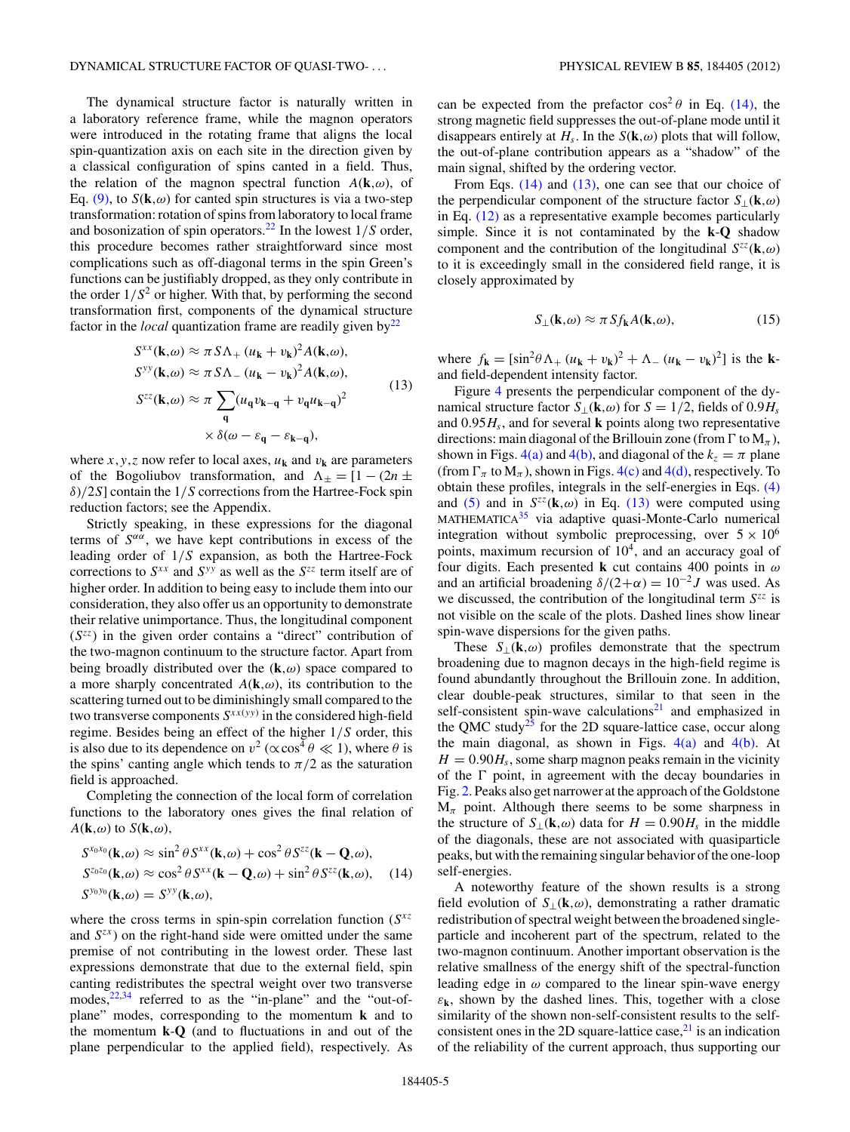<span id="page-4-0"></span>The dynamical structure factor is naturally written in a laboratory reference frame, while the magnon operators were introduced in the rotating frame that aligns the local spin-quantization axis on each site in the direction given by a classical configuration of spins canted in a field. Thus, the relation of the magnon spectral function  $A(\mathbf{k}, \omega)$ , of Eq. [\(9\),](#page-3-0) to  $S(\mathbf{k}, \omega)$  for canted spin structures is via a two-step transformation: rotation of spins from laboratory to local frame and bosonization of spin operators[.22](#page-9-0) In the lowest 1*/S* order, this procedure becomes rather straightforward since most complications such as off-diagonal terms in the spin Green's functions can be justifiably dropped, as they only contribute in the order  $1/S^2$  or higher. With that, by performing the second transformation first, components of the dynamical structure factor in the *local* quantization frame are readily given  $by<sup>22</sup>$ 

$$
S^{xx}(\mathbf{k},\omega) \approx \pi S \Lambda_+ (u_{\mathbf{k}} + v_{\mathbf{k}})^2 A(\mathbf{k},\omega),
$$
  
\n
$$
S^{yy}(\mathbf{k},\omega) \approx \pi S \Lambda_- (u_{\mathbf{k}} - v_{\mathbf{k}})^2 A(\mathbf{k},\omega),
$$
  
\n
$$
S^{zz}(\mathbf{k},\omega) \approx \pi \sum_{\mathbf{q}} (u_{\mathbf{q}} v_{\mathbf{k}-\mathbf{q}} + v_{\mathbf{q}} u_{\mathbf{k}-\mathbf{q}})^2
$$
  
\n
$$
\times \delta(\omega - \varepsilon_{\mathbf{q}} - \varepsilon_{\mathbf{k}-\mathbf{q}}),
$$
\n(13)

where *x*, *y*, *z* now refer to local axes,  $u_k$  and  $v_k$  are parameters of the Bogoliubov transformation, and  $\Lambda_{+} = [1 - (2n \pm$ *δ*)*/*2*S*] contain the 1*/S* corrections from the Hartree-Fock spin reduction factors; see the Appendix.

Strictly speaking, in these expressions for the diagonal terms of  $S^{\alpha\alpha}$ , we have kept contributions in excess of the leading order of 1*/S* expansion, as both the Hartree-Fock corrections to *Sxx* and *Syy* as well as the *Szz* term itself are of higher order. In addition to being easy to include them into our consideration, they also offer us an opportunity to demonstrate their relative unimportance. Thus, the longitudinal component (*Szz*) in the given order contains a "direct" contribution of the two-magnon continuum to the structure factor. Apart from being broadly distributed over the (**k***,ω*) space compared to a more sharply concentrated *A*(**k***,ω*), its contribution to the scattering turned out to be diminishingly small compared to the two transverse components  $S^{xx(yy)}$  in the considered high-field regime. Besides being an effect of the higher 1*/S* order, this is also due to its dependence on  $v^2$  ( $\propto \cos^4 \theta \ll 1$ ), where  $\theta$  is the spins' canting angle which tends to  $\pi/2$  as the saturation field is approached.

Completing the connection of the local form of correlation functions to the laboratory ones gives the final relation of  $A(\mathbf{k}, \omega)$  to  $S(\mathbf{k}, \omega)$ ,

$$
S^{x_0x_0}(\mathbf{k},\omega) \approx \sin^2 \theta S^{xx}(\mathbf{k},\omega) + \cos^2 \theta S^{zz}(\mathbf{k} - \mathbf{Q},\omega),
$$
  
\n
$$
S^{z_0z_0}(\mathbf{k},\omega) \approx \cos^2 \theta S^{xx}(\mathbf{k} - \mathbf{Q},\omega) + \sin^2 \theta S^{zz}(\mathbf{k},\omega), \quad (14)
$$
  
\n
$$
S^{y_0y_0}(\mathbf{k},\omega) = S^{y_0}(\mathbf{k},\omega),
$$

where the cross terms in spin-spin correlation function (*Sxz* and  $S^{zx}$ ) on the right-hand side were omitted under the same premise of not contributing in the lowest order. These last expressions demonstrate that due to the external field, spin canting redistributes the spectral weight over two transverse modes, $22,34$  $22,34$  referred to as the "in-plane" and the "out-ofplane" modes, corresponding to the momentum **k** and to the momentum **k**-**Q** (and to fluctuations in and out of the plane perpendicular to the applied field), respectively. As can be expected from the prefactor  $\cos^2 \theta$  in Eq. (14), the strong magnetic field suppresses the out-of-plane mode until it disappears entirely at  $H_s$ . In the  $S(\mathbf{k}, \omega)$  plots that will follow, the out-of-plane contribution appears as a "shadow" of the main signal, shifted by the ordering vector.

From Eqs. (14) and (13), one can see that our choice of the perpendicular component of the structure factor  $S_{\perp}(\mathbf{k},\omega)$ in Eq. [\(12\)](#page-3-0) as a representative example becomes particularly simple. Since it is not contaminated by the **k**-**Q** shadow component and the contribution of the longitudinal  $S^{zz}(\mathbf{k}, \omega)$ to it is exceedingly small in the considered field range, it is closely approximated by

$$
S_{\perp}(\mathbf{k},\omega) \approx \pi S f_{\mathbf{k}} A(\mathbf{k},\omega),\tag{15}
$$

where  $f_{\bf k} = [\sin^2 \theta \Lambda_+ (u_{\bf k} + v_{\bf k})^2 + \Lambda_- (u_{\bf k} - v_{\bf k})^2]$  is the **k**and field-dependent intensity factor.

Figure [4](#page-5-0) presents the perpendicular component of the dynamical structure factor  $S_{\perp}(\mathbf{k}, \omega)$  for  $S = 1/2$ , fields of 0*.9H<sub>s</sub>* and 0*.*95*Hs*, and for several **k** points along two representative directions: main diagonal of the Brillouin zone (from  $\Gamma$  to  $M_\pi$ ), shown in Figs.  $4(a)$  and  $4(b)$ , and diagonal of the  $k_z = \pi$  plane (from  $\Gamma_{\pi}$  to  $M_{\pi}$ ), shown in Figs. [4\(c\)](#page-5-0) and [4\(d\),](#page-5-0) respectively. To obtain these profiles, integrals in the self-energies in Eqs. [\(4\)](#page-1-0) and [\(5\)](#page-1-0) and in  $S^{zz}$ ( $\mathbf{k}, \omega$ ) in Eq. (13) were computed using  $MATHEMATICA<sup>35</sup>$  via adaptive quasi-Monte-Carlo numerical integration without symbolic preprocessing, over  $5 \times 10^6$ points, maximum recursion of  $10<sup>4</sup>$ , and an accuracy goal of four digits. Each presented **k** cut contains 400 points in *ω* and an artificial broadening  $\delta/(2+\alpha) = 10^{-2} J$  was used. As we discussed, the contribution of the longitudinal term *Szz* is not visible on the scale of the plots. Dashed lines show linear spin-wave dispersions for the given paths.

These  $S_{\perp}(\mathbf{k}, \omega)$  profiles demonstrate that the spectrum broadening due to magnon decays in the high-field regime is found abundantly throughout the Brillouin zone. In addition, clear double-peak structures, similar to that seen in the self-consistent spin-wave calculations<sup>[21](#page-9-0)</sup> and emphasized in the QMC study<sup>25</sup> for the 2D square-lattice case, occur along the main diagonal, as shown in Figs.  $4(a)$  and  $4(b)$ . At  $H = 0.90H<sub>s</sub>$ , some sharp magnon peaks remain in the vicinity of the  $\Gamma$  point, in agreement with the decay boundaries in Fig. [2.](#page-2-0) Peaks also get narrower at the approach of the Goldstone M*<sup>π</sup>* point. Although there seems to be some sharpness in the structure of  $S_{\perp}(\mathbf{k},\omega)$  data for  $H = 0.90H_s$  in the middle of the diagonals, these are not associated with quasiparticle peaks, but with the remaining singular behavior of the one-loop self-energies.

A noteworthy feature of the shown results is a strong field evolution of  $S_{\perp}(\mathbf{k},\omega)$ , demonstrating a rather dramatic redistribution of spectral weight between the broadened singleparticle and incoherent part of the spectrum, related to the two-magnon continuum. Another important observation is the relative smallness of the energy shift of the spectral-function leading edge in  $\omega$  compared to the linear spin-wave energy  $\varepsilon_k$ , shown by the dashed lines. This, together with a close similarity of the shown non-self-consistent results to the selfconsistent ones in the 2D square-lattice case, $^{21}$  is an indication of the reliability of the current approach, thus supporting our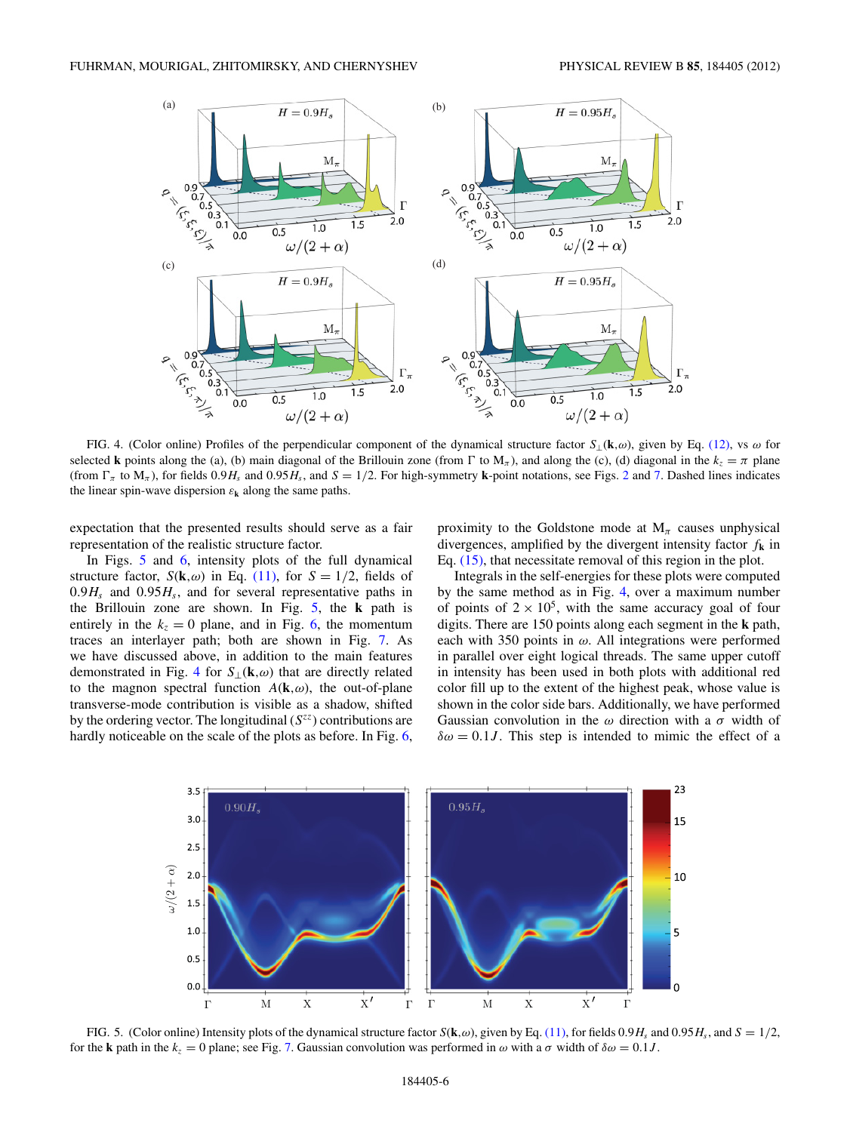<span id="page-5-0"></span>

FIG. 4. (Color online) Profiles of the perpendicular component of the dynamical structure factor *S*⊥(**k***,ω*), given by Eq. [\(12\),](#page-3-0) vs *ω* for selected **k** points along the (a), (b) main diagonal of the Brillouin zone (from  $\Gamma$  to  $M_\pi$ ), and along the (c), (d) diagonal in the  $k_z = \pi$  plane (from  $\Gamma_{\pi}$  to  $M_{\pi}$ ), for fields 0.9*H<sub>s</sub>* and 0.95*H<sub>s</sub>*, and *S* = 1/[2](#page-2-0). For high-symmetry **k**-point notations, see Figs. 2 and [7.](#page-6-0) Dashed lines indicates the linear spin-wave dispersion  $\varepsilon_k$  along the same paths.

expectation that the presented results should serve as a fair representation of the realistic structure factor.

In Figs. 5 and [6,](#page-6-0) intensity plots of the full dynamical structure factor,  $S(\mathbf{k}, \omega)$  in Eq. [\(11\),](#page-3-0) for  $S = 1/2$ , fields of  $0.9H_s$  and  $0.95H_s$ , and for several representative paths in the Brillouin zone are shown. In Fig. 5, the **k** path is entirely in the  $k_z = 0$  plane, and in Fig. [6,](#page-6-0) the momentum traces an interlayer path; both are shown in Fig. [7.](#page-6-0) As we have discussed above, in addition to the main features demonstrated in Fig. 4 for *S*⊥(**k***,ω*) that are directly related to the magnon spectral function  $A(\mathbf{k}, \omega)$ , the out-of-plane transverse-mode contribution is visible as a shadow, shifted by the ordering vector. The longitudinal  $(S^{zz})$  contributions are hardly noticeable on the scale of the plots as before. In Fig. [6,](#page-6-0)

proximity to the Goldstone mode at  $M_\pi$  causes unphysical divergences, amplified by the divergent intensity factor *f***<sup>k</sup>** in Eq. [\(15\),](#page-4-0) that necessitate removal of this region in the plot.

Integrals in the self-energies for these plots were computed by the same method as in Fig. 4, over a maximum number of points of  $2 \times 10^5$ , with the same accuracy goal of four digits. There are 150 points along each segment in the **k** path, each with 350 points in *ω*. All integrations were performed in parallel over eight logical threads. The same upper cutoff in intensity has been used in both plots with additional red color fill up to the extent of the highest peak, whose value is shown in the color side bars. Additionally, we have performed Gaussian convolution in the *ω* direction with a *σ* width of  $\delta \omega = 0.1 J$ . This step is intended to mimic the effect of a



FIG. 5. (Color online) Intensity plots of the dynamical structure factor  $S(\mathbf{k}, \omega)$ , given by Eq. [\(11\),](#page-3-0) for fields 0.9*H<sub>s</sub>* and 0.95*H<sub>s</sub>*, and  $S = 1/2$ , for the **k** path in the  $k_z = 0$  plane; see Fig. [7.](#page-6-0) Gaussian convolution was performed in  $\omega$  with a  $\sigma$  width of  $\delta \omega = 0.1J$ .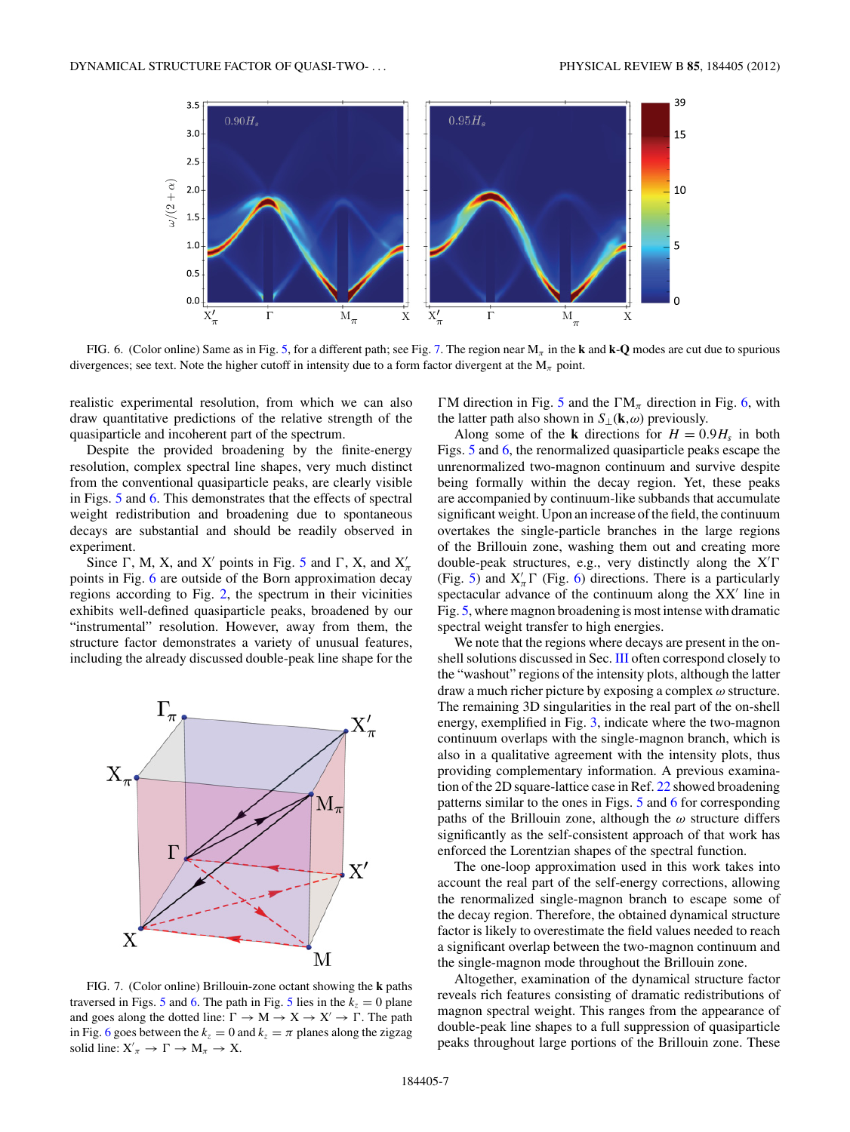<span id="page-6-0"></span>

FIG. 6. (Color online) Same as in Fig. [5,](#page-5-0) for a different path; see Fig. 7. The region near M*<sup>π</sup>* in the **k** and **k**-**Q** modes are cut due to spurious divergences; see text. Note the higher cutoff in intensity due to a form factor divergent at the  $M_\pi$  point.

realistic experimental resolution, from which we can also draw quantitative predictions of the relative strength of the quasiparticle and incoherent part of the spectrum.

Despite the provided broadening by the finite-energy resolution, complex spectral line shapes, very much distinct from the conventional quasiparticle peaks, are clearly visible in Figs. [5](#page-5-0) and 6. This demonstrates that the effects of spectral weight redistribution and broadening due to spontaneous decays are substantial and should be readily observed in experiment.

Since  $\Gamma$ , M, X, and X' points in Fig. [5](#page-5-0) and  $\Gamma$ , X, and  $X'_n$ points in Fig. 6 are outside of the Born approximation decay regions according to Fig. [2,](#page-2-0) the spectrum in their vicinities exhibits well-defined quasiparticle peaks, broadened by our "instrumental" resolution. However, away from them, the structure factor demonstrates a variety of unusual features, including the already discussed double-peak line shape for the



FIG. 7. (Color online) Brillouin-zone octant showing the **k** paths traversed in Figs. [5](#page-5-0) and 6. The path in Fig. 5 lies in the  $k_z = 0$  plane and goes along the dotted line:  $\Gamma \rightarrow M \rightarrow X \rightarrow X' \rightarrow \Gamma$ . The path in Fig. 6 goes between the  $k_z = 0$  and  $k_z = \pi$  planes along the zigzag solid line:  $X'_\pi \to \Gamma \to M_\pi \to X$ .

 $\Gamma$ M direction in Fig. [5](#page-5-0) and the  $\Gamma M_{\pi}$  direction in Fig. 6, with the latter path also shown in  $S_{\perp}(\mathbf{k}, \omega)$  previously.

Along some of the **k** directions for  $H = 0.9H_s$  in both Figs. [5](#page-5-0) and 6, the renormalized quasiparticle peaks escape the unrenormalized two-magnon continuum and survive despite being formally within the decay region. Yet, these peaks are accompanied by continuum-like subbands that accumulate significant weight. Upon an increase of the field, the continuum overtakes the single-particle branches in the large regions of the Brillouin zone, washing them out and creating more double-peak structures, e.g., very distinctly along the X<sup>'</sup> (Fig. [5\)](#page-5-0) and  $X'_\n\pi \Gamma$  (Fig. 6) directions. There is a particularly spectacular advance of the continuum along the XX' line in Fig. [5,](#page-5-0) where magnon broadening is most intense with dramatic spectral weight transfer to high energies.

We note that the regions where decays are present in the on-shell solutions discussed in Sec. [III](#page-1-0) often correspond closely to the "washout" regions of the intensity plots, although the latter draw a much richer picture by exposing a complex *ω* structure. The remaining 3D singularities in the real part of the on-shell energy, exemplified in Fig. [3,](#page-2-0) indicate where the two-magnon continuum overlaps with the single-magnon branch, which is also in a qualitative agreement with the intensity plots, thus providing complementary information. A previous examination of the 2D square-lattice case in Ref. [22](#page-9-0) showed broadening patterns similar to the ones in Figs. [5](#page-5-0) and 6 for corresponding paths of the Brillouin zone, although the *ω* structure differs significantly as the self-consistent approach of that work has enforced the Lorentzian shapes of the spectral function.

The one-loop approximation used in this work takes into account the real part of the self-energy corrections, allowing the renormalized single-magnon branch to escape some of the decay region. Therefore, the obtained dynamical structure factor is likely to overestimate the field values needed to reach a significant overlap between the two-magnon continuum and the single-magnon mode throughout the Brillouin zone.

Altogether, examination of the dynamical structure factor reveals rich features consisting of dramatic redistributions of magnon spectral weight. This ranges from the appearance of double-peak line shapes to a full suppression of quasiparticle peaks throughout large portions of the Brillouin zone. These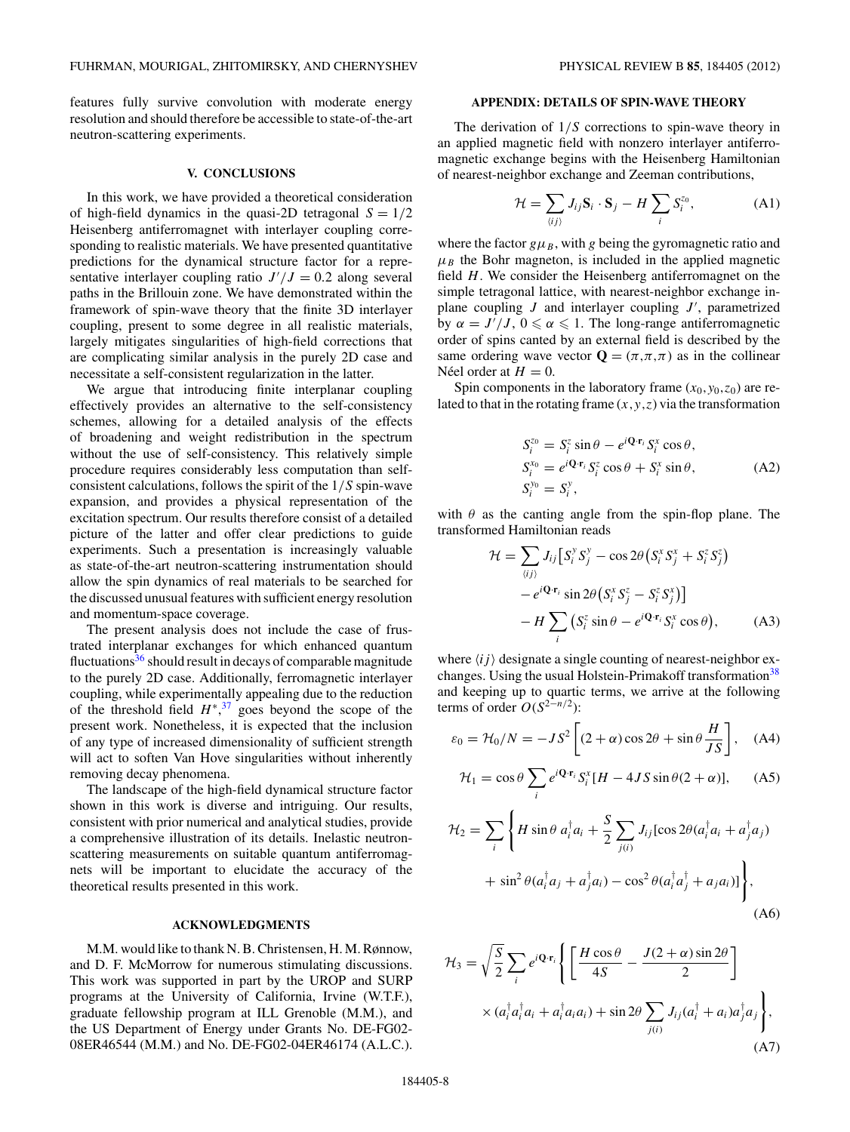<span id="page-7-0"></span>features fully survive convolution with moderate energy resolution and should therefore be accessible to state-of-the-art neutron-scattering experiments.

#### **V. CONCLUSIONS**

In this work, we have provided a theoretical consideration of high-field dynamics in the quasi-2D tetragonal  $S = 1/2$ Heisenberg antiferromagnet with interlayer coupling corresponding to realistic materials. We have presented quantitative predictions for the dynamical structure factor for a representative interlayer coupling ratio  $J'/J = 0.2$  along several paths in the Brillouin zone. We have demonstrated within the framework of spin-wave theory that the finite 3D interlayer coupling, present to some degree in all realistic materials, largely mitigates singularities of high-field corrections that are complicating similar analysis in the purely 2D case and necessitate a self-consistent regularization in the latter.

We argue that introducing finite interplanar coupling effectively provides an alternative to the self-consistency schemes, allowing for a detailed analysis of the effects of broadening and weight redistribution in the spectrum without the use of self-consistency. This relatively simple procedure requires considerably less computation than selfconsistent calculations, follows the spirit of the 1*/S* spin-wave expansion, and provides a physical representation of the excitation spectrum. Our results therefore consist of a detailed picture of the latter and offer clear predictions to guide experiments. Such a presentation is increasingly valuable as state-of-the-art neutron-scattering instrumentation should allow the spin dynamics of real materials to be searched for the discussed unusual features with sufficient energy resolution and momentum-space coverage.

The present analysis does not include the case of frustrated interplanar exchanges for which enhanced quantum fluctuations $36$  should result in decays of comparable magnitude to the purely 2D case. Additionally, ferromagnetic interlayer coupling, while experimentally appealing due to the reduction of the threshold field  $H^*$ <sup>[37](#page-10-0)</sup>, goes beyond the scope of the present work. Nonetheless, it is expected that the inclusion of any type of increased dimensionality of sufficient strength will act to soften Van Hove singularities without inherently removing decay phenomena.

The landscape of the high-field dynamical structure factor shown in this work is diverse and intriguing. Our results, consistent with prior numerical and analytical studies, provide a comprehensive illustration of its details. Inelastic neutronscattering measurements on suitable quantum antiferromagnets will be important to elucidate the accuracy of the theoretical results presented in this work.

### **ACKNOWLEDGMENTS**

M.M. would like to thank N. B. Christensen, H. M. Rønnow, and D. F. McMorrow for numerous stimulating discussions. This work was supported in part by the UROP and SURP programs at the University of California, Irvine (W.T.F.), graduate fellowship program at ILL Grenoble (M.M.), and the US Department of Energy under Grants No. DE-FG02- 08ER46544 (M.M.) and No. DE-FG02-04ER46174 (A.L.C.).

# **APPENDIX: DETAILS OF SPIN-WAVE THEORY**

The derivation of 1*/S* corrections to spin-wave theory in an applied magnetic field with nonzero interlayer antiferromagnetic exchange begins with the Heisenberg Hamiltonian of nearest-neighbor exchange and Zeeman contributions,

$$
\mathcal{H} = \sum_{\langle ij \rangle} J_{ij} \mathbf{S}_i \cdot \mathbf{S}_j - H \sum_i S_i^{z_0}, \tag{A1}
$$

where the factor  $g\mu_B$ , with *g* being the gyromagnetic ratio and  $\mu_B$  the Bohr magneton, is included in the applied magnetic field *H*. We consider the Heisenberg antiferromagnet on the simple tetragonal lattice, with nearest-neighbor exchange inplane coupling  $J$  and interlayer coupling  $J'$ , parametrized by  $\alpha = J'/J$ ,  $0 \le \alpha \le 1$ . The long-range antiferromagnetic order of spins canted by an external field is described by the same ordering wave vector  $\mathbf{Q} = (\pi, \pi, \pi)$  as in the collinear Néel order at  $H = 0$ .

Spin components in the laboratory frame  $(x_0, y_0, z_0)$  are related to that in the rotating frame  $(x, y, z)$  via the transformation

$$
S_i^{z_0} = S_i^z \sin \theta - e^{i\mathbf{Q} \cdot \mathbf{r}_i} S_i^x \cos \theta,
$$
  
\n
$$
S_i^{x_0} = e^{i\mathbf{Q} \cdot \mathbf{r}_i} S_i^z \cos \theta + S_i^x \sin \theta,
$$
  
\n
$$
S_i^{y_0} = S_i^y,
$$
\n(A2)

with  $\theta$  as the canting angle from the spin-flop plane. The transformed Hamiltonian reads

$$
\mathcal{H} = \sum_{\langle ij \rangle} J_{ij} \left[ S_i^y S_j^y - \cos 2\theta \left( S_i^x S_j^x + S_i^z S_j^z \right) - e^{i\mathbf{Q} \cdot \mathbf{r}_i} \sin 2\theta \left( S_i^x S_j^z - S_i^z S_j^x \right) \right] - H \sum_i \left( S_i^z \sin \theta - e^{i\mathbf{Q} \cdot \mathbf{r}_i} S_i^x \cos \theta \right), \tag{A3}
$$

where  $\langle i j \rangle$  designate a single counting of nearest-neighbor ex-changes. Using the usual Holstein-Primakoff transformation<sup>[38](#page-10-0)</sup> and keeping up to quartic terms, we arrive at the following terms of order  $O(S^{2-n/2})$ :

$$
\varepsilon_0 = \mathcal{H}_0/N = -JS^2 \left[ (2+\alpha)\cos 2\theta + \sin \theta \frac{H}{JS} \right], \quad (A4)
$$

$$
\mathcal{H}_1 = \cos \theta \sum_i e^{i\mathbf{Q} \cdot \mathbf{r}_i} S_i^x [H - 4JS \sin \theta (2 + \alpha)], \quad (A5)
$$

$$
\mathcal{H}_2 = \sum_i \left\{ H \sin \theta \ a_i^\dagger a_i + \frac{S}{2} \sum_{j(i)} J_{ij} [\cos 2\theta (a_i^\dagger a_i + a_j^\dagger a_j) + \sin^2 \theta (a_i^\dagger a_j + a_j^\dagger a_i) - \cos^2 \theta (a_i^\dagger a_j^\dagger + a_j a_i) \right\},\tag{A6}
$$

$$
\mathcal{H}_3 = \sqrt{\frac{S}{2}} \sum_i e^{i\mathbf{Q} \cdot \mathbf{r}_i} \left\{ \left[ \frac{H \cos \theta}{4S} - \frac{J(2+\alpha) \sin 2\theta}{2} \right] \times (a_i^\dagger a_i^\dagger a_i + a_i^\dagger a_i a_i) + \sin 2\theta \sum_{j(i)} J_{ij} (a_i^\dagger + a_i) a_j^\dagger a_j \right\},\tag{A7}
$$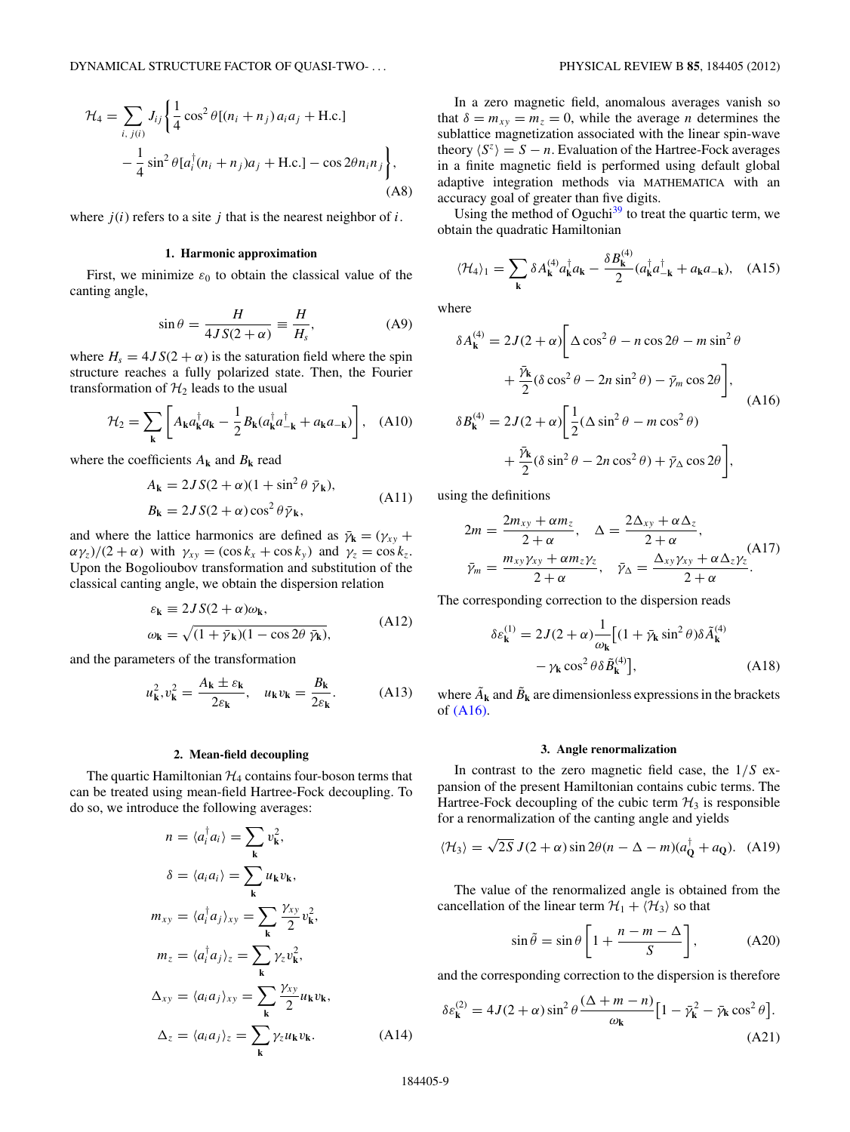<span id="page-8-0"></span>
$$
\mathcal{H}_4 = \sum_{i, j(i)} J_{ij} \left\{ \frac{1}{4} \cos^2 \theta [(n_i + n_j) a_i a_j + \text{H.c.}] - \frac{1}{4} \sin^2 \theta [a_i^{\dagger} (n_i + n_j) a_j + \text{H.c.}] - \cos 2\theta n_i n_j \right\},\tag{A8}
$$

where  $j(i)$  refers to a site  $j$  that is the nearest neighbor of  $i$ .

### **1. Harmonic approximation**

First, we minimize  $\varepsilon_0$  to obtain the classical value of the canting angle,

$$
\sin \theta = \frac{H}{4JS(2+\alpha)} \equiv \frac{H}{H_s},\tag{A9}
$$

where  $H_s = 4JS(2 + \alpha)$  is the saturation field where the spin structure reaches a fully polarized state. Then, the Fourier transformation of  $H_2$  leads to the usual

$$
\mathcal{H}_2 = \sum_{\mathbf{k}} \left[ A_{\mathbf{k}} a_{\mathbf{k}}^\dagger a_{\mathbf{k}} - \frac{1}{2} B_{\mathbf{k}} (a_{\mathbf{k}}^\dagger a_{-\mathbf{k}}^\dagger + a_{\mathbf{k}} a_{-\mathbf{k}}) \right], \quad (A10)
$$

where the coefficients  $A_k$  and  $B_k$  read

$$
A_{\mathbf{k}} = 2JS(2+\alpha)(1+\sin^2\theta \bar{\gamma}_{\mathbf{k}}),
$$
  
\n
$$
B_{\mathbf{k}} = 2JS(2+\alpha)\cos^2\theta \bar{\gamma}_{\mathbf{k}},
$$
\n(A11)

and where the lattice harmonics are defined as  $\bar{\gamma}_k = (\gamma_{xy} + \gamma_{xy})$  $\alpha \gamma_z$ )/(2 +  $\alpha$ ) with  $\gamma_{xy} = (\cos k_x + \cos k_y)$  and  $\gamma_z = \cos k_z$ . Upon the Bogolioubov transformation and substitution of the classical canting angle, we obtain the dispersion relation

$$
\varepsilon_{\mathbf{k}} \equiv 2JS(2+\alpha)\omega_{\mathbf{k}},
$$
  
\n
$$
\omega_{\mathbf{k}} = \sqrt{(1+\bar{\gamma}_{\mathbf{k}})(1-\cos 2\theta \ \bar{\gamma}_{\mathbf{k}})},
$$
\n(A12)

and the parameters of the transformation

$$
u_{\mathbf{k}}^2, v_{\mathbf{k}}^2 = \frac{A_{\mathbf{k}} \pm \varepsilon_{\mathbf{k}}}{2\varepsilon_{\mathbf{k}}}, \quad u_{\mathbf{k}}v_{\mathbf{k}} = \frac{B_{\mathbf{k}}}{2\varepsilon_{\mathbf{k}}}.
$$
 (A13)

### **2. Mean-field decoupling**

The quartic Hamiltonian  $H_4$  contains four-boson terms that can be treated using mean-field Hartree-Fock decoupling. To do so, we introduce the following averages:

$$
n = \langle a_i^{\dagger} a_i \rangle = \sum_{\mathbf{k}} v_{\mathbf{k}}^2,
$$
  
\n
$$
\delta = \langle a_i a_i \rangle = \sum_{\mathbf{k}} u_{\mathbf{k}} v_{\mathbf{k}},
$$
  
\n
$$
m_{xy} = \langle a_i^{\dagger} a_j \rangle_{xy} = \sum_{\mathbf{k}} \frac{\gamma_{xy}}{2} v_{\mathbf{k}}^2,
$$
  
\n
$$
m_z = \langle a_i^{\dagger} a_j \rangle_z = \sum_{\mathbf{k}} \gamma_z v_{\mathbf{k}}^2,
$$
  
\n
$$
\Delta_{xy} = \langle a_i a_j \rangle_{xy} = \sum_{\mathbf{k}} \frac{\gamma_{xy}}{2} u_{\mathbf{k}} v_{\mathbf{k}},
$$
  
\n
$$
\Delta_z = \langle a_i a_j \rangle_z = \sum_{\mathbf{k}} \gamma_z u_{\mathbf{k}} v_{\mathbf{k}}.
$$
 (A14)

In a zero magnetic field, anomalous averages vanish so that  $\delta = m_{xy} = m_z = 0$ , while the average *n* determines the sublattice magnetization associated with the linear spin-wave theory  $\langle S^z \rangle = S - n$ . Evaluation of the Hartree-Fock averages in a finite magnetic field is performed using default global adaptive integration methods via MATHEMATICA with an accuracy goal of greater than five digits.

Using the method of Oguchi $39$  to treat the quartic term, we obtain the quadratic Hamiltonian

$$
\langle \mathcal{H}_4 \rangle_1 = \sum_{\mathbf{k}} \delta A_{\mathbf{k}}^{(4)} a_{\mathbf{k}}^\dagger a_{\mathbf{k}} - \frac{\delta B_{\mathbf{k}}^{(4)}}{2} (a_{\mathbf{k}}^\dagger a_{-\mathbf{k}}^\dagger + a_{\mathbf{k}} a_{-\mathbf{k}}), \quad \text{(A15)}
$$

where

$$
\delta A_{\mathbf{k}}^{(4)} = 2J(2+\alpha)\left[\Delta\cos^{2}\theta - n\cos 2\theta - m\sin^{2}\theta\right] \n+ \frac{\bar{\gamma}_{\mathbf{k}}}{2}(\delta\cos^{2}\theta - 2n\sin^{2}\theta) - \bar{\gamma}_{m}\cos 2\theta\right],
$$
\n(A16)  
\n
$$
\delta B_{\mathbf{k}}^{(4)} = 2J(2+\alpha)\left[\frac{1}{2}(\Delta\sin^{2}\theta - m\cos^{2}\theta) + \bar{\gamma}_{\Delta}\cos 2\theta\right],
$$

using the definitions

$$
2m = \frac{2m_{xy} + \alpha m_z}{2 + \alpha}, \quad \Delta = \frac{2\Delta_{xy} + \alpha \Delta_z}{2 + \alpha},
$$
  

$$
\bar{\gamma}_m = \frac{m_{xy}\gamma_{xy} + \alpha m_z\gamma_z}{2 + \alpha}, \quad \bar{\gamma}_\Delta = \frac{\Delta_{xy}\gamma_{xy} + \alpha \Delta_z\gamma_z}{2 + \alpha}.
$$
 (A17)

The corresponding correction to the dispersion reads

$$
\delta \varepsilon_{\mathbf{k}}^{(1)} = 2J(2+\alpha) \frac{1}{\omega_{\mathbf{k}}} \left[ (1 + \bar{\gamma}_{\mathbf{k}} \sin^2 \theta) \delta \tilde{A}_{\mathbf{k}}^{(4)} - \gamma_{\mathbf{k}} \cos^2 \theta \delta \tilde{B}_{\mathbf{k}}^{(4)} \right],
$$
 (A18)

where  $\tilde{A}_k$  and  $\tilde{B}_k$  are dimensionless expressions in the brackets of (A16).

#### **3. Angle renormalization**

In contrast to the zero magnetic field case, the 1*/S* expansion of the present Hamiltonian contains cubic terms. The Hartree-Fock decoupling of the cubic term  $H_3$  is responsible for a renormalization of the canting angle and yields

$$
\langle \mathcal{H}_3 \rangle = \sqrt{2S} J(2+\alpha) \sin 2\theta (n-\Delta-m)(a_{\mathbf{Q}}^{\dagger} + a_{\mathbf{Q}}). \quad (A19)
$$

The value of the renormalized angle is obtained from the cancellation of the linear term  $\mathcal{H}_1 + \langle \mathcal{H}_3 \rangle$  so that

$$
\sin \tilde{\theta} = \sin \theta \left[ 1 + \frac{n - m - \Delta}{S} \right],\tag{A20}
$$

and the corresponding correction to the dispersion is therefore

$$
\delta \varepsilon_{\mathbf{k}}^{(2)} = 4J(2+\alpha)\sin^2\theta \frac{(\Delta+m-n)}{\omega_{\mathbf{k}}} \Big[1 - \bar{\gamma}_{\mathbf{k}}^2 - \bar{\gamma}_{\mathbf{k}}\cos^2\theta\Big].
$$
\n(A21)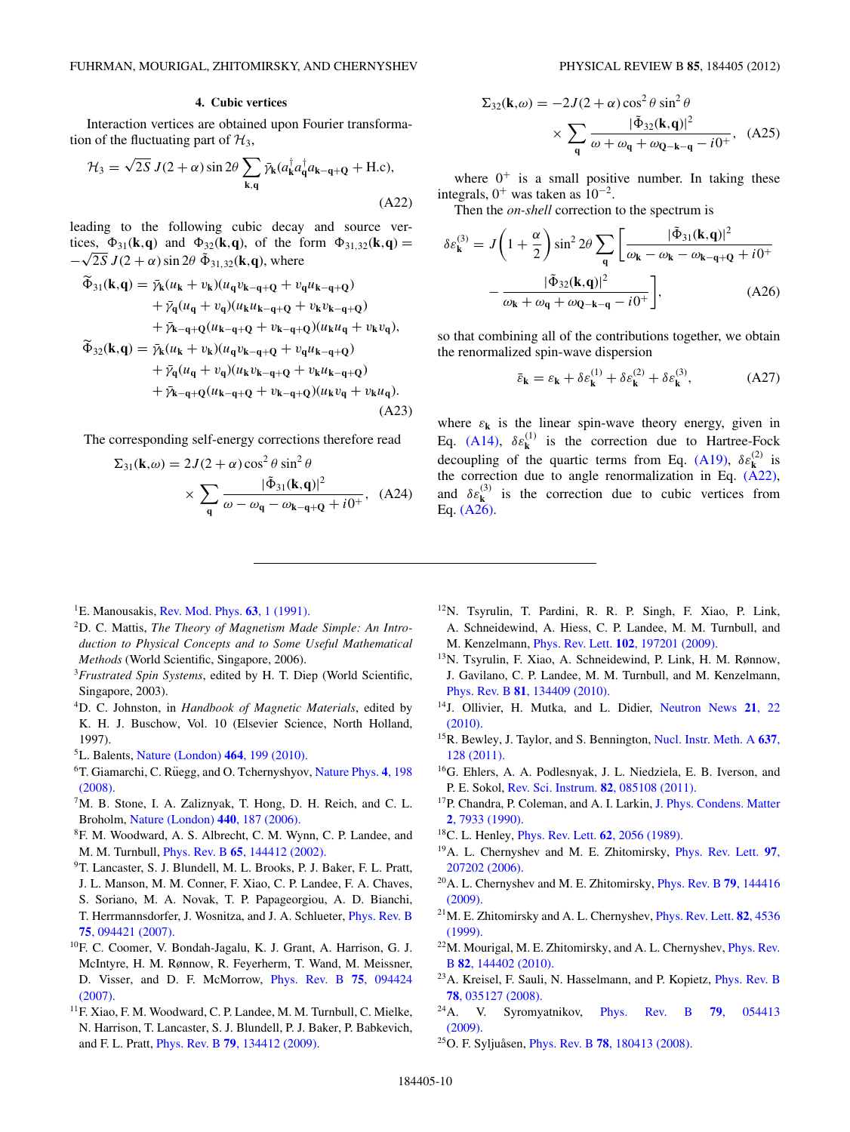### **4. Cubic vertices**

<span id="page-9-0"></span>Interaction vertices are obtained upon Fourier transformation of the fluctuating part of  $\mathcal{H}_3$ ,

$$
\mathcal{H}_3 = \sqrt{2S} J(2+\alpha) \sin 2\theta \sum_{\mathbf{k}, \mathbf{q}} \bar{\gamma}_{\mathbf{k}} (a_{\mathbf{k}}^\dagger a_{\mathbf{q}}^\dagger a_{\mathbf{k} - \mathbf{q} + \mathbf{Q}} + \text{H.c}),
$$
\n(A22)

leading to the following cubic decay and source vertices,  $\Phi_{31}(\mathbf{k}, \mathbf{q})$  and  $\Phi_{32}(\mathbf{k}, \mathbf{q})$ , of the form  $\Phi_{31,32}(\mathbf{k}, \mathbf{q}) =$  $-\sqrt{2S} J(2+\alpha) \sin 2\theta \, \tilde{\Phi}_{31,32}(\mathbf{k},\mathbf{q})$ , where

$$
\begin{split}\n\widetilde{\Phi}_{31}(\mathbf{k}, \mathbf{q}) &= \bar{\gamma}_{\mathbf{k}}(u_{\mathbf{k}} + v_{\mathbf{k}})(u_{\mathbf{q}}v_{\mathbf{k}-\mathbf{q}+\mathbf{Q}} + v_{\mathbf{q}}u_{\mathbf{k}-\mathbf{q}+\mathbf{Q}}) \\
&\quad + \bar{\gamma}_{\mathbf{q}}(u_{\mathbf{q}} + v_{\mathbf{q}})(u_{\mathbf{k}}u_{\mathbf{k}-\mathbf{q}+\mathbf{Q}} + v_{\mathbf{k}}v_{\mathbf{k}-\mathbf{q}+\mathbf{Q}}) \\
&\quad + \bar{\gamma}_{\mathbf{k}-\mathbf{q}+\mathbf{Q}}(u_{\mathbf{k}-\mathbf{q}+\mathbf{Q}} + v_{\mathbf{k}-\mathbf{q}+\mathbf{Q}})(u_{\mathbf{k}}u_{\mathbf{q}} + v_{\mathbf{k}}v_{\mathbf{q}}), \\
\widetilde{\Phi}_{32}(\mathbf{k}, \mathbf{q}) &= \bar{\gamma}_{\mathbf{k}}(u_{\mathbf{k}} + v_{\mathbf{k}})(u_{\mathbf{q}}v_{\mathbf{k}-\mathbf{q}+\mathbf{Q}} + v_{\mathbf{q}}u_{\mathbf{k}-\mathbf{q}+\mathbf{Q}}) \\
&\quad + \bar{\gamma}_{\mathbf{q}}(u_{\mathbf{q}} + v_{\mathbf{q}})(u_{\mathbf{k}}v_{\mathbf{k}-\mathbf{q}+\mathbf{Q}} + v_{\mathbf{k}}u_{\mathbf{k}-\mathbf{q}+\mathbf{Q}}) \\
&\quad + \bar{\gamma}_{\mathbf{k}-\mathbf{q}+\mathbf{Q}}(u_{\mathbf{k}-\mathbf{q}+\mathbf{Q}} + v_{\mathbf{k}-\mathbf{q}+\mathbf{Q}})(u_{\mathbf{k}}v_{\mathbf{q}} + v_{\mathbf{k}}u_{\mathbf{q}}).\n\end{split} \tag{A23}
$$

The corresponding self-energy corrections therefore read

$$
\Sigma_{31}(\mathbf{k}, \omega) = 2J(2+\alpha)\cos^2\theta \sin^2\theta
$$
  
 
$$
\times \sum_{\mathbf{q}} \frac{|\tilde{\Phi}_{31}(\mathbf{k}, \mathbf{q})|^2}{\omega - \omega_{\mathbf{q}} - \omega_{\mathbf{k} - \mathbf{q} + \mathbf{Q}} + i0^+}, \quad (A24)
$$

$$
\Sigma_{32}(\mathbf{k}, \omega) = -2J(2+\alpha)\cos^2\theta \sin^2\theta
$$

$$
\times \sum_{\mathbf{q}} \frac{|\tilde{\Phi}_{32}(\mathbf{k}, \mathbf{q})|^2}{\omega + \omega_{\mathbf{q}} + \omega_{\mathbf{Q}-\mathbf{k}-\mathbf{q}} - i0^+}, \quad (A25)
$$

where  $0^+$  is a small positive number. In taking these integrals,  $0^+$  was taken as  $10^{-2}$ .

Then the *on-shell* correction to the spectrum is

$$
\delta \varepsilon_{\mathbf{k}}^{(3)} = J \left( 1 + \frac{\alpha}{2} \right) \sin^2 2\theta \sum_{\mathbf{q}} \left[ \frac{|\tilde{\Phi}_{31}(\mathbf{k}, \mathbf{q})|^2}{\omega_{\mathbf{k}} - \omega_{\mathbf{k}} - \omega_{\mathbf{k} - \mathbf{q} + \mathbf{Q}} + i0^+} - \frac{|\tilde{\Phi}_{32}(\mathbf{k}, \mathbf{q})|^2}{\omega_{\mathbf{k}} + \omega_{\mathbf{q}} + \omega_{\mathbf{Q} - \mathbf{k} - \mathbf{q}} - i0^+} \right],
$$
(A26)

so that combining all of the contributions together, we obtain the renormalized spin-wave dispersion

$$
\bar{\varepsilon}_{\mathbf{k}} = \varepsilon_{\mathbf{k}} + \delta \varepsilon_{\mathbf{k}}^{(1)} + \delta \varepsilon_{\mathbf{k}}^{(2)} + \delta \varepsilon_{\mathbf{k}}^{(3)},\tag{A27}
$$

where  $\varepsilon_k$  is the linear spin-wave theory energy, given in Eq. [\(A14\),](#page-8-0)  $\delta \varepsilon_k^{(1)}$  is the correction due to Hartree-Fock decoupling of the quartic terms from Eq. [\(A19\),](#page-8-0)  $\delta \varepsilon_k^{(2)}$  is the correction due to angle renormalization in Eq. (A22), and  $\delta \varepsilon_k^{(3)}$  is the correction due to cubic vertices from Eq. (A26).

- 1E. Manousakis, [Rev. Mod. Phys.](http://dx.doi.org/10.1103/RevModPhys.63.1) **63**, 1 (1991).
- 2D. C. Mattis, *The Theory of Magnetism Made Simple: An Introduction to Physical Concepts and to Some Useful Mathematical Methods* (World Scientific, Singapore, 2006).
- <sup>3</sup>*Frustrated Spin Systems*, edited by H. T. Diep (World Scientific, Singapore, 2003).
- 4D. C. Johnston, in *Handbook of Magnetic Materials*, edited by K. H. J. Buschow, Vol. 10 (Elsevier Science, North Holland, 1997).
- 5L. Balents, [Nature \(London\)](http://dx.doi.org/10.1038/nature08917) **464**, 199 (2010).
- <sup>6</sup>T. Giamarchi, C. Rüegg, and O. Tchernyshyov, [Nature Phys.](http://dx.doi.org/10.1038/nphys893) 4, 198 [\(2008\).](http://dx.doi.org/10.1038/nphys893)
- 7M. B. Stone, I. A. Zaliznyak, T. Hong, D. H. Reich, and C. L. Broholm, [Nature \(London\)](http://dx.doi.org/10.1038/nature04593) **440**, 187 (2006).
- 8F. M. Woodward, A. S. Albrecht, C. M. Wynn, C. P. Landee, and M. M. Turnbull, Phys. Rev. B **65**[, 144412 \(2002\).](http://dx.doi.org/10.1103/PhysRevB.65.144412)
- 9T. Lancaster, S. J. Blundell, M. L. Brooks, P. J. Baker, F. L. Pratt,
- J. L. Manson, M. M. Conner, F. Xiao, C. P. Landee, F. A. Chaves, S. Soriano, M. A. Novak, T. P. Papageorgiou, A. D. Bianchi, T. Herrmannsdorfer, J. Wosnitza, and J. A. Schlueter, [Phys. Rev. B](http://dx.doi.org/10.1103/PhysRevB.75.094421) **75**[, 094421 \(2007\).](http://dx.doi.org/10.1103/PhysRevB.75.094421)
- 10F. C. Coomer, V. Bondah-Jagalu, K. J. Grant, A. Harrison, G. J. McIntyre, H. M. Rønnow, R. Feyerherm, T. Wand, M. Meissner, D. Visser, and D. F. McMorrow, [Phys. Rev. B](http://dx.doi.org/10.1103/PhysRevB.75.094424) **75**, 094424 [\(2007\).](http://dx.doi.org/10.1103/PhysRevB.75.094424)
- 11F. Xiao, F. M. Woodward, C. P. Landee, M. M. Turnbull, C. Mielke, N. Harrison, T. Lancaster, S. J. Blundell, P. J. Baker, P. Babkevich, and F. L. Pratt, Phys. Rev. B **79**[, 134412 \(2009\).](http://dx.doi.org/10.1103/PhysRevB.79.134412)
- <sup>12</sup>N. Tsyrulin, T. Pardini, R. R. P. Singh, F. Xiao, P. Link, A. Schneidewind, A. Hiess, C. P. Landee, M. M. Turnbull, and M. Kenzelmann, Phys. Rev. Lett. **102**[, 197201 \(2009\).](http://dx.doi.org/10.1103/PhysRevLett.102.197201)
- 13N. Tsyrulin, F. Xiao, A. Schneidewind, P. Link, H. M. Rønnow, J. Gavilano, C. P. Landee, M. M. Turnbull, and M. Kenzelmann, Phys. Rev. B **81**[, 134409 \(2010\).](http://dx.doi.org/10.1103/PhysRevB.81.134409)
- 14J. Ollivier, H. Mutka, and L. Didier, [Neutron News](http://dx.doi.org/10.1080/10448631003757573) **21**, 22 [\(2010\).](http://dx.doi.org/10.1080/10448631003757573)
- 15R. Bewley, J. Taylor, and S. Bennington, [Nucl. Instr. Meth. A](http://dx.doi.org/10.1016/j.nima.2011.01.173) **637**, [128 \(2011\).](http://dx.doi.org/10.1016/j.nima.2011.01.173)
- 16G. Ehlers, A. A. Podlesnyak, J. L. Niedziela, E. B. Iverson, and P. E. Sokol, [Rev. Sci. Instrum.](http://dx.doi.org/10.1063/1.3626935) **82**, 085108 (2011).
- <sup>17</sup>P. Chandra, P. Coleman, and A. I. Larkin, [J. Phys. Condens. Matter](http://dx.doi.org/10.1088/0953-8984/2/39/008) **2**[, 7933 \(1990\).](http://dx.doi.org/10.1088/0953-8984/2/39/008)
- 18C. L. Henley, [Phys. Rev. Lett.](http://dx.doi.org/10.1103/PhysRevLett.62.2056) **62**, 2056 (1989).
- 19A. L. Chernyshev and M. E. Zhitomirsky, [Phys. Rev. Lett.](http://dx.doi.org/10.1103/PhysRevLett.97.207202) **97**, [207202 \(2006\).](http://dx.doi.org/10.1103/PhysRevLett.97.207202)
- 20A. L. Chernyshev and M. E. Zhitomirsky, [Phys. Rev. B](http://dx.doi.org/10.1103/PhysRevB.79.144416) **79**, 144416 [\(2009\).](http://dx.doi.org/10.1103/PhysRevB.79.144416)
- 21M. E. Zhitomirsky and A. L. Chernyshev, [Phys. Rev. Lett.](http://dx.doi.org/10.1103/PhysRevLett.82.4536) **82**, 4536 [\(1999\).](http://dx.doi.org/10.1103/PhysRevLett.82.4536)
- $^{22}$ M. Mourigal, M. E. Zhitomirsky, and A. L. Chernyshev, [Phys. Rev.](http://dx.doi.org/10.1103/PhysRevB.82.144402) B **82**[, 144402 \(2010\).](http://dx.doi.org/10.1103/PhysRevB.82.144402)
- 23A. Kreisel, F. Sauli, N. Hasselmann, and P. Kopietz, [Phys. Rev. B](http://dx.doi.org/10.1103/PhysRevB.78.035127) **78**[, 035127 \(2008\).](http://dx.doi.org/10.1103/PhysRevB.78.035127)
- 24A. V. Syromyatnikov, [Phys. Rev. B](http://dx.doi.org/10.1103/PhysRevB.79.054413) **79**, 054413 [\(2009\).](http://dx.doi.org/10.1103/PhysRevB.79.054413)
- <sup>25</sup>O. F. Syljuåsen, *Phys. Rev. B* **78**[, 180413 \(2008\).](http://dx.doi.org/10.1103/PhysRevB.78.180413)